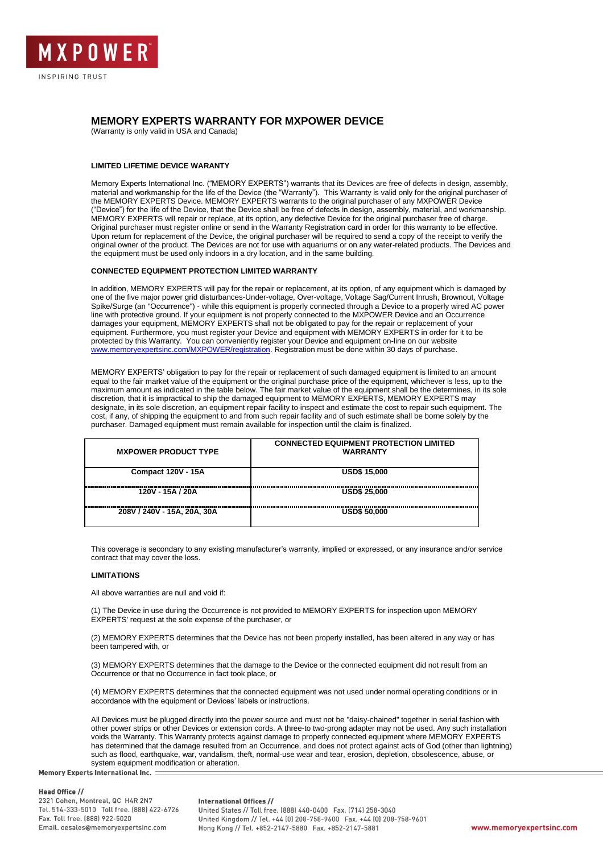

# **MEMORY EXPERTS WARRANTY FOR MXPOWER DEVICE**

(Warranty is only valid in USA and Canada)

# **LIMITED LIFETIME DEVICE WARANTY**

Memory Experts International Inc. ("MEMORY EXPERTS") warrants that its Devices are free of defects in design, assembly, material and workmanship for the life of the Device (the "Warranty"). This Warranty is valid only for the original purchaser of the MEMORY EXPERTS Device. MEMORY EXPERTS warrants to the original purchaser of any MXPOWER Device ("Device") for the life of the Device, that the Device shall be free of defects in design, assembly, material, and workmanship. MEMORY EXPERTS will repair or replace, at its option, any defective Device for the original purchaser free of charge. Original purchaser must register online or send in the Warranty Registration card in order for this warranty to be effective. Upon return for replacement of the Device, the original purchaser will be required to send a copy of the receipt to verify the original owner of the product. The Devices are not for use with aquariums or on any water-related products. The Devices and the equipment must be used only indoors in a dry location, and in the same building.

# **CONNECTED EQUIPMENT PROTECTION LIMITED WARRANTY**

In addition, MEMORY EXPERTS will pay for the repair or replacement, at its option, of any equipment which is damaged by one of the five major power grid disturbances-Under-voltage, Over-voltage, Voltage Sag/Current Inrush, Brownout, Voltage Spike/Surge (an "Occurrence") - while this equipment is properly connected through a Device to a properly wired AC power line with protective ground. If your equipment is not properly connected to the MXPOWER Device and an Occurrence damages your equipment, MEMORY EXPERTS shall not be obligated to pay for the repair or replacement of your equipment. Furthermore, you must register your Device and equipment with MEMORY EXPERTS in order for it to be protected by this Warranty. You can conveniently register your Device and equipment on-line on our website [www.memoryexpertsinc.com/MXPOWER/registration.](http://www.memoryexpertsinc.com/MXPOWER/registration) Registration must be done within 30 days of purchase.

MEMORY EXPERTS' obligation to pay for the repair or replacement of such damaged equipment is limited to an amount equal to the fair market value of the equipment or the original purchase price of the equipment, whichever is less, up to the maximum amount as indicated in the table below. The fair market value of the equipment shall be the determines, in its sole discretion, that it is impractical to ship the damaged equipment to MEMORY EXPERTS, MEMORY EXPERTS may designate, in its sole discretion, an equipment repair facility to inspect and estimate the cost to repair such equipment. The cost, if any, of shipping the equipment to and from such repair facility and of such estimate shall be borne solely by the purchaser. Damaged equipment must remain available for inspection until the claim is finalized.

| <b>MXPOWER PRODUCT TYPE</b> | <b>CONNECTED EQUIPMENT PROTECTION LIMITED</b><br><b>WARRANTY</b> |
|-----------------------------|------------------------------------------------------------------|
| <b>Compact 120V - 15A</b>   | <b>USD\$ 15,000</b>                                              |
| 120V - 15A / 20A            | <b>USD\$ 25,000</b>                                              |
| 208V / 240V - 15A, 20A, 30A | <b>USD\$ 50,000</b>                                              |

This coverage is secondary to any existing manufacturer's warranty, implied or expressed, or any insurance and/or service contract that may cover the loss.

# **LIMITATIONS**

All above warranties are null and void if:

(1) The Device in use during the Occurrence is not provided to MEMORY EXPERTS for inspection upon MEMORY EXPERTS' request at the sole expense of the purchaser, or

(2) MEMORY EXPERTS determines that the Device has not been properly installed, has been altered in any way or has been tampered with, or

(3) MEMORY EXPERTS determines that the damage to the Device or the connected equipment did not result from an Occurrence or that no Occurrence in fact took place, or

(4) MEMORY EXPERTS determines that the connected equipment was not used under normal operating conditions or in accordance with the equipment or Devices' labels or instructions.

All Devices must be plugged directly into the power source and must not be "daisy-chained" together in serial fashion with other power strips or other Devices or extension cords. A three-to two-prong adapter may not be used. Any such installation voids the Warranty. This Warranty protects against damage to properly connected equipment where MEMORY EXPERTS has determined that the damage resulted from an Occurrence, and does not protect against acts of God (other than lightning) such as flood, earthquake, war, vandalism, theft, normal-use wear and tear, erosion, depletion, obsolescence, abuse, or system equipment modification or alteration.

**Memory Experts International Inc.** 

#### **Head Office //**

2321 Cohen, Montreal, QC H4R 2N7 Tel. 514-333-5010 Toll free. (888) 422-6726 Fax. Toll free. (888) 922-5020 Email. oesales@memoryexpertsinc.com

#### **International Offices //**

United States // Toll free. (888) 440-0400 Fax. (714) 258-3040 United Kingdom // Tel. +44 (0) 208-758-9600 Fax. +44 (0) 208-758-9601 Hong Kong // Tel. +852-2147-5880 Fax. +852-2147-5881